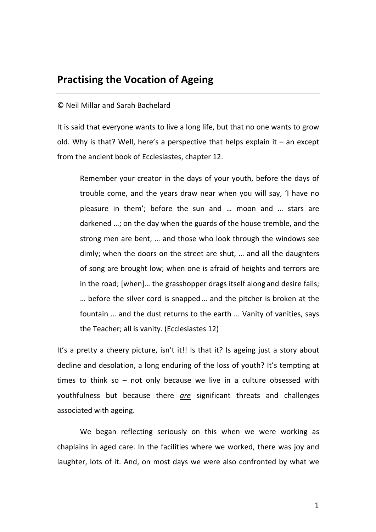# **Practising the Vocation of Ageing**

## © Neil Millar and Sarah Bachelard

It is said that everyone wants to live a long life, but that no one wants to grow old. Why is that? Well, here's a perspective that helps explain it  $-$  an except from the ancient book of Ecclesiastes, chapter 12.

Remember your creator in the days of your youth, before the days of trouble come, and the years draw near when you will say, 'I have no pleasure in them'; before the sun and ... moon and ... stars are darkened ...; on the day when the guards of the house tremble, and the strong men are bent, ... and those who look through the windows see dimly; when the doors on the street are shut, ... and all the daughters of song are brought low; when one is afraid of heights and terrors are in the road;  $[when]...$  the grasshopper drags itself along and desire fails; ... before the silver cord is snapped ... and the pitcher is broken at the fountain ... and the dust returns to the earth ... Vanity of vanities, says the Teacher; all is vanity. (Ecclesiastes 12)

It's a pretty a cheery picture, isn't it!! Is that it? Is ageing just a story about decline and desolation, a long enduring of the loss of youth? It's tempting at times to think so – not only because we live in a culture obsessed with youthfulness but because there *are* significant threats and challenges associated with ageing. 

We began reflecting seriously on this when we were working as chaplains in aged care. In the facilities where we worked, there was joy and laughter, lots of it. And, on most days we were also confronted by what we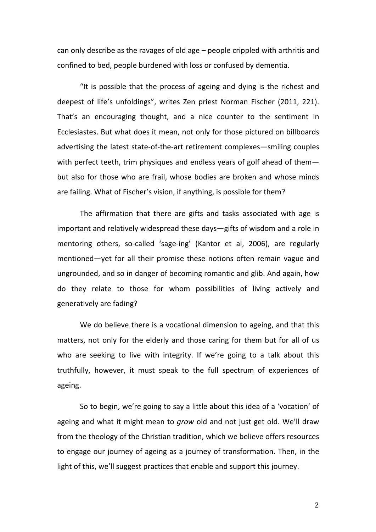can only describe as the ravages of old age  $-$  people crippled with arthritis and confined to bed, people burdened with loss or confused by dementia.

"It is possible that the process of ageing and dying is the richest and deepest of life's unfoldings", writes Zen priest Norman Fischer (2011, 221). That's an encouraging thought, and a nice counter to the sentiment in Ecclesiastes. But what does it mean, not only for those pictured on billboards advertising the latest state-of-the-art retirement complexes—smiling couples with perfect teeth, trim physiques and endless years of golf ahead of thembut also for those who are frail, whose bodies are broken and whose minds are failing. What of Fischer's vision, if anything, is possible for them?

The affirmation that there are gifts and tasks associated with age is important and relatively widespread these days-gifts of wisdom and a role in mentoring others, so-called 'sage-ing' (Kantor et al, 2006), are regularly mentioned—yet for all their promise these notions often remain vague and ungrounded, and so in danger of becoming romantic and glib. And again, how do they relate to those for whom possibilities of living actively and generatively are fading?

We do believe there is a vocational dimension to ageing, and that this matters, not only for the elderly and those caring for them but for all of us who are seeking to live with integrity. If we're going to a talk about this truthfully, however, it must speak to the full spectrum of experiences of ageing.

So to begin, we're going to say a little about this idea of a 'vocation' of ageing and what it might mean to *grow* old and not just get old. We'll draw from the theology of the Christian tradition, which we believe offers resources to engage our journey of ageing as a journey of transformation. Then, in the light of this, we'll suggest practices that enable and support this journey.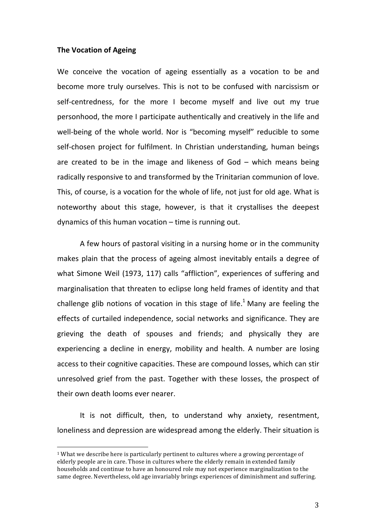#### **The Vocation of Ageing**

 

We conceive the vocation of ageing essentially as a vocation to be and become more truly ourselves. This is not to be confused with narcissism or self-centredness, for the more I become myself and live out my true personhood, the more I participate authentically and creatively in the life and well-being of the whole world. Nor is "becoming myself" reducible to some self-chosen project for fulfilment. In Christian understanding, human beings are created to be in the image and likeness of  $God - which$  means being radically responsive to and transformed by the Trinitarian communion of love. This, of course, is a vocation for the whole of life, not just for old age. What is noteworthy about this stage, however, is that it crystallises the deepest dynamics of this human vocation  $-$  time is running out.

A few hours of pastoral visiting in a nursing home or in the community makes plain that the process of ageing almost inevitably entails a degree of what Simone Weil (1973, 117) calls "affliction", experiences of suffering and marginalisation that threaten to eclipse long held frames of identity and that challenge glib notions of vocation in this stage of life.<sup>1</sup> Many are feeling the effects of curtailed independence, social networks and significance. They are grieving the death of spouses and friends; and physically they are experiencing a decline in energy, mobility and health. A number are losing access to their cognitive capacities. These are compound losses, which can stir unresolved grief from the past. Together with these losses, the prospect of their own death looms ever nearer.

It is not difficult, then, to understand why anxiety, resentment, loneliness and depression are widespread among the elderly. Their situation is

 $1$  What we describe here is particularly pertinent to cultures where a growing percentage of elderly people are in care. Those in cultures where the elderly remain in extended family households and continue to have an honoured role may not experience marginalization to the same degree. Nevertheless, old age invariably brings experiences of diminishment and suffering.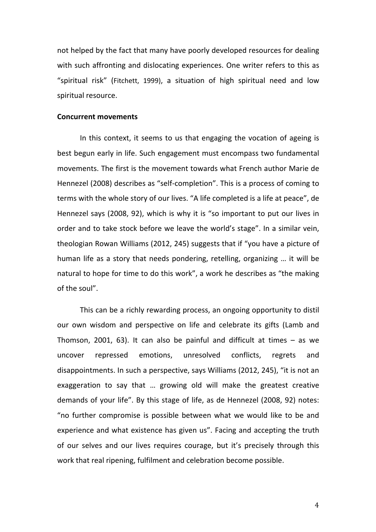not helped by the fact that many have poorly developed resources for dealing with such affronting and dislocating experiences. One writer refers to this as "spiritual risk" (Fitchett, 1999), a situation of high spiritual need and low spiritual resource.

#### **Concurrent movements**

In this context, it seems to us that engaging the vocation of ageing is best begun early in life. Such engagement must encompass two fundamental movements. The first is the movement towards what French author Marie de Hennezel (2008) describes as "self-completion". This is a process of coming to terms with the whole story of our lives. "A life completed is a life at peace", de Hennezel says (2008, 92), which is why it is "so important to put our lives in order and to take stock before we leave the world's stage". In a similar vein, theologian Rowan Williams (2012, 245) suggests that if "you have a picture of human life as a story that needs pondering, retelling, organizing ... it will be natural to hope for time to do this work", a work he describes as "the making of the soul".

This can be a richly rewarding process, an ongoing opportunity to distil our own wisdom and perspective on life and celebrate its gifts (Lamb and Thomson, 2001, 63). It can also be painful and difficult at times  $-$  as we uncover repressed emotions, unresolved conflicts, regrets and disappointments. In such a perspective, says Williams (2012, 245), "it is not an exaggeration to say that ... growing old will make the greatest creative demands of your life". By this stage of life, as de Hennezel (2008, 92) notes: "no further compromise is possible between what we would like to be and experience and what existence has given us". Facing and accepting the truth of our selves and our lives requires courage, but it's precisely through this work that real ripening, fulfilment and celebration become possible.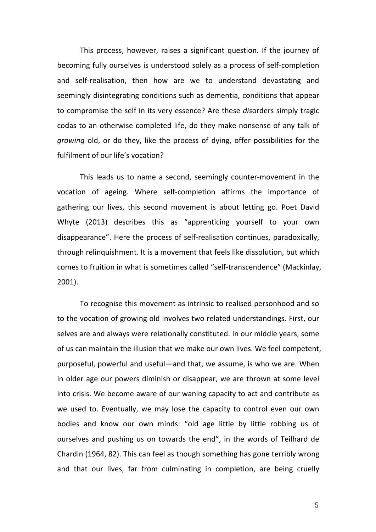This process, however, raises a significant question. If the journey of becoming fully ourselves is understood solely as a process of self-completion and self-realisation, then how are we to understand devastating and seemingly disintegrating conditions such as dementia, conditions that appear to compromise the self in its very essence? Are these *disorders* simply tragic codas to an otherwise completed life, do they make nonsense of any talk of *growing* old, or do they, like the process of dying, offer possibilities for the fulfilment of our life's vocation?

This leads us to name a second, seemingly counter-movement in the vocation of ageing. Where self-completion affirms the importance of gathering our lives, this second movement is about letting go. Poet David Whyte (2013) describes this as "apprenticing yourself to your own disappearance". Here the process of self-realisation continues, paradoxically, through relinquishment. It is a movement that feels like dissolution, but which comes to fruition in what is sometimes called "self-transcendence" (Mackinlay, 2001). 

To recognise this movement as intrinsic to realised personhood and so to the vocation of growing old involves two related understandings. First, our selves are and always were relationally constituted. In our middle years, some of us can maintain the illusion that we make our own lives. We feel competent, purposeful, powerful and useful—and that, we assume, is who we are. When in older age our powers diminish or disappear, we are thrown at some level into crisis. We become aware of our waning capacity to act and contribute as we used to. Eventually, we may lose the capacity to control even our own bodies and know our own minds: "old age little by little robbing us of ourselves and pushing us on towards the end", in the words of Teilhard de Chardin (1964, 82). This can feel as though something has gone terribly wrong and that our lives, far from culminating in completion, are being cruelly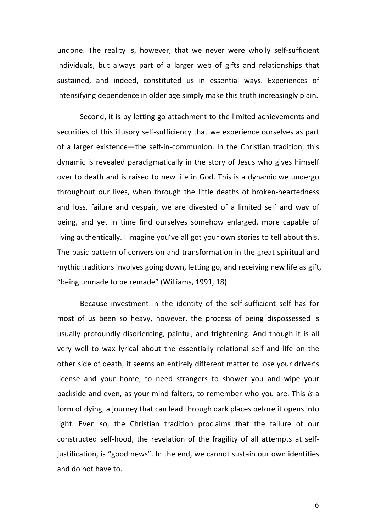undone. The reality is, however, that we never were wholly self-sufficient individuals, but always part of a larger web of gifts and relationships that sustained, and indeed, constituted us in essential ways. Experiences of intensifying dependence in older age simply make this truth increasingly plain.

Second, it is by letting go attachment to the limited achievements and securities of this illusory self-sufficiency that we experience ourselves as part of a larger existence—the self-in-communion. In the Christian tradition, this dynamic is revealed paradigmatically in the story of Jesus who gives himself over to death and is raised to new life in God. This is a dynamic we undergo throughout our lives, when through the little deaths of broken-heartedness and loss, failure and despair, we are divested of a limited self and way of being, and yet in time find ourselves somehow enlarged, more capable of living authentically. I imagine you've all got your own stories to tell about this. The basic pattern of conversion and transformation in the great spiritual and mythic traditions involves going down, letting go, and receiving new life as gift, "being unmade to be remade" (Williams, 1991, 18).

Because investment in the identity of the self-sufficient self has for most of us been so heavy, however, the process of being dispossessed is usually profoundly disorienting, painful, and frightening. And though it is all very well to wax lyrical about the essentially relational self and life on the other side of death, it seems an entirely different matter to lose your driver's license and your home, to need strangers to shower you and wipe your backside and even, as your mind falters, to remember who you are. This is a form of dying, a journey that can lead through dark places before it opens into light. Even so, the Christian tradition proclaims that the failure of our constructed self-hood, the revelation of the fragility of all attempts at selfjustification, is "good news". In the end, we cannot sustain our own identities and do not have to.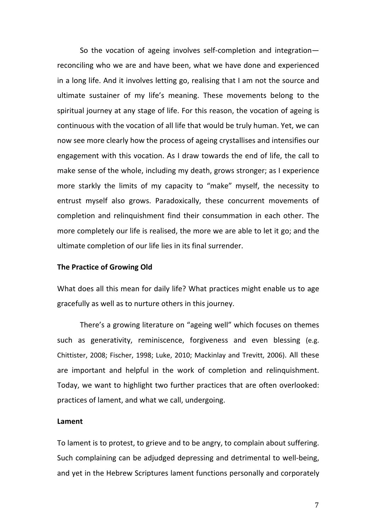So the vocation of ageing involves self-completion and integrationreconciling who we are and have been, what we have done and experienced in a long life. And it involves letting go, realising that I am not the source and ultimate sustainer of my life's meaning. These movements belong to the spiritual journey at any stage of life. For this reason, the vocation of ageing is continuous with the vocation of all life that would be truly human. Yet, we can now see more clearly how the process of ageing crystallises and intensifies our engagement with this vocation. As I draw towards the end of life, the call to make sense of the whole, including my death, grows stronger; as I experience more starkly the limits of my capacity to "make" myself, the necessity to entrust myself also grows. Paradoxically, these concurrent movements of completion and relinquishment find their consummation in each other. The more completely our life is realised, the more we are able to let it go; and the ultimate completion of our life lies in its final surrender.

## **The Practice of Growing Old**

What does all this mean for daily life? What practices might enable us to age gracefully as well as to nurture others in this journey.

There's a growing literature on "ageing well" which focuses on themes such as generativity, reminiscence, forgiveness and even blessing (e.g. Chittister, 2008; Fischer, 1998; Luke, 2010; Mackinlay and Trevitt, 2006). All these are important and helpful in the work of completion and relinquishment. Today, we want to highlight two further practices that are often overlooked: practices of lament, and what we call, undergoing.

### **Lament**

To lament is to protest, to grieve and to be angry, to complain about suffering. Such complaining can be adjudged depressing and detrimental to well-being, and yet in the Hebrew Scriptures lament functions personally and corporately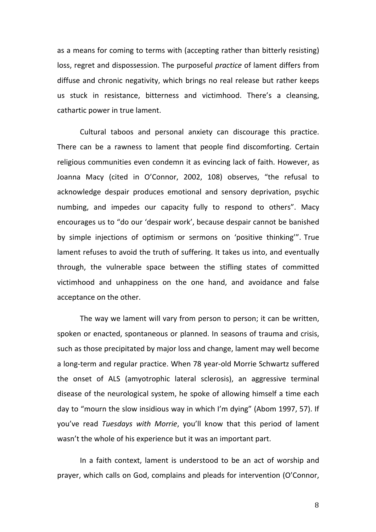as a means for coming to terms with (accepting rather than bitterly resisting) loss, regret and dispossession. The purposeful *practice* of lament differs from diffuse and chronic negativity, which brings no real release but rather keeps us stuck in resistance, bitterness and victimhood. There's a cleansing, cathartic power in true lament.

Cultural taboos and personal anxiety can discourage this practice. There can be a rawness to lament that people find discomforting. Certain religious communities even condemn it as evincing lack of faith. However, as Joanna Macy (cited in O'Connor, 2002, 108) observes, "the refusal to acknowledge despair produces emotional and sensory deprivation, psychic numbing, and impedes our capacity fully to respond to others". Macy encourages us to "do our 'despair work', because despair cannot be banished by simple injections of optimism or sermons on 'positive thinking'". True lament refuses to avoid the truth of suffering. It takes us into, and eventually through, the vulnerable space between the stifling states of committed victimhood and unhappiness on the one hand, and avoidance and false acceptance on the other.

The way we lament will vary from person to person; it can be written, spoken or enacted, spontaneous or planned. In seasons of trauma and crisis, such as those precipitated by major loss and change, lament may well become a long-term and regular practice. When 78 year-old Morrie Schwartz suffered the onset of ALS (amyotrophic lateral sclerosis), an aggressive terminal disease of the neurological system, he spoke of allowing himself a time each day to "mourn the slow insidious way in which I'm dying" (Abom 1997, 57). If you've read *Tuesdays* with Morrie, you'll know that this period of lament wasn't the whole of his experience but it was an important part.

In a faith context, lament is understood to be an act of worship and prayer, which calls on God, complains and pleads for intervention (O'Connor,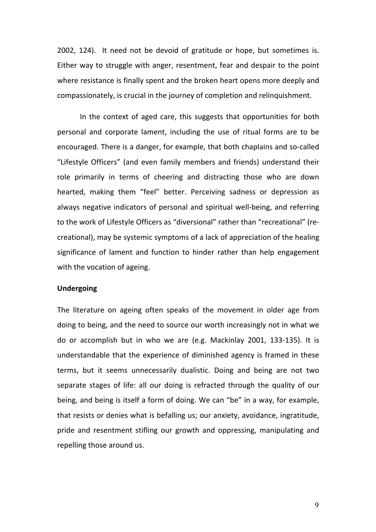2002, 124). It need not be devoid of gratitude or hope, but sometimes is. Either way to struggle with anger, resentment, fear and despair to the point where resistance is finally spent and the broken heart opens more deeply and compassionately, is crucial in the journey of completion and relinquishment.

In the context of aged care, this suggests that opportunities for both personal and corporate lament, including the use of ritual forms are to be encouraged. There is a danger, for example, that both chaplains and so-called "Lifestyle Officers" (and even family members and friends) understand their role primarily in terms of cheering and distracting those who are down hearted, making them "feel" better. Perceiving sadness or depression as always negative indicators of personal and spiritual well-being, and referring to the work of Lifestyle Officers as "diversional" rather than "recreational" (recreational), may be systemic symptoms of a lack of appreciation of the healing significance of lament and function to hinder rather than help engagement with the vocation of ageing.

# **Undergoing**

The literature on ageing often speaks of the movement in older age from doing to being, and the need to source our worth increasingly not in what we do or accomplish but in who we are (e.g. Mackinlay 2001, 133-135). It is understandable that the experience of diminished agency is framed in these terms, but it seems unnecessarily dualistic. Doing and being are not two separate stages of life: all our doing is refracted through the quality of our being, and being is itself a form of doing. We can "be" in a way, for example, that resists or denies what is befalling us; our anxiety, avoidance, ingratitude, pride and resentment stifling our growth and oppressing, manipulating and repelling those around us.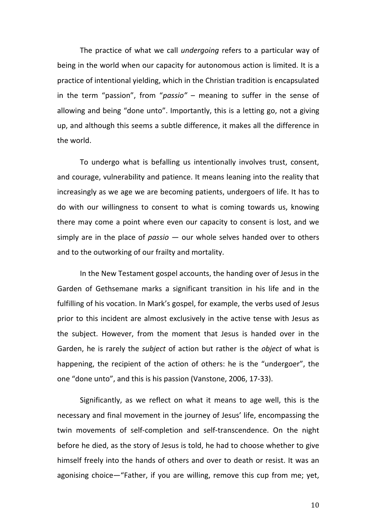The practice of what we call *undergoing* refers to a particular way of being in the world when our capacity for autonomous action is limited. It is a practice of intentional yielding, which in the Christian tradition is encapsulated in the term "passion", from "passio" – meaning to suffer in the sense of allowing and being "done unto". Importantly, this is a letting go, not a giving up, and although this seems a subtle difference, it makes all the difference in the world.

To undergo what is befalling us intentionally involves trust, consent, and courage, vulnerability and patience. It means leaning into the reality that increasingly as we age we are becoming patients, undergoers of life. It has to do with our willingness to consent to what is coming towards us, knowing there may come a point where even our capacity to consent is lost, and we simply are in the place of *passio*  $-$  our whole selves handed over to others and to the outworking of our frailty and mortality.

In the New Testament gospel accounts, the handing over of Jesus in the Garden of Gethsemane marks a significant transition in his life and in the fulfilling of his vocation. In Mark's gospel, for example, the verbs used of Jesus prior to this incident are almost exclusively in the active tense with Jesus as the subject. However, from the moment that Jesus is handed over in the Garden, he is rarely the *subject* of action but rather is the *object* of what is happening, the recipient of the action of others: he is the "undergoer", the one "done unto", and this is his passion (Vanstone, 2006, 17-33).

Significantly, as we reflect on what it means to age well, this is the necessary and final movement in the journey of Jesus' life, encompassing the twin movements of self-completion and self-transcendence. On the night before he died, as the story of Jesus is told, he had to choose whether to give himself freely into the hands of others and over to death or resist. It was an agonising choice—"Father, if you are willing, remove this cup from me; yet,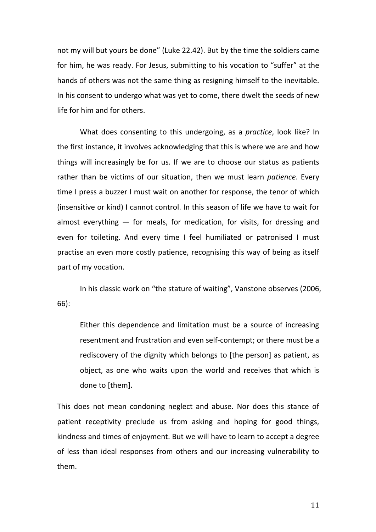not my will but yours be done" (Luke 22.42). But by the time the soldiers came for him, he was ready. For Jesus, submitting to his vocation to "suffer" at the hands of others was not the same thing as resigning himself to the inevitable. In his consent to undergo what was yet to come, there dwelt the seeds of new life for him and for others.

What does consenting to this undergoing, as a *practice*, look like? In the first instance, it involves acknowledging that this is where we are and how things will increasingly be for us. If we are to choose our status as patients rather than be victims of our situation, then we must learn *patience*. Every time I press a buzzer I must wait on another for response, the tenor of which (insensitive or kind) I cannot control. In this season of life we have to wait for almost everything  $-$  for meals, for medication, for visits, for dressing and even for toileting. And every time I feel humiliated or patronised I must practise an even more costly patience, recognising this way of being as itself part of my vocation.

In his classic work on "the stature of waiting", Vanstone observes (2006, 66): 

Either this dependence and limitation must be a source of increasing resentment and frustration and even self-contempt; or there must be a rediscovery of the dignity which belongs to [the person] as patient, as object, as one who waits upon the world and receives that which is done to [them].

This does not mean condoning neglect and abuse. Nor does this stance of patient receptivity preclude us from asking and hoping for good things, kindness and times of enjoyment. But we will have to learn to accept a degree of less than ideal responses from others and our increasing vulnerability to them.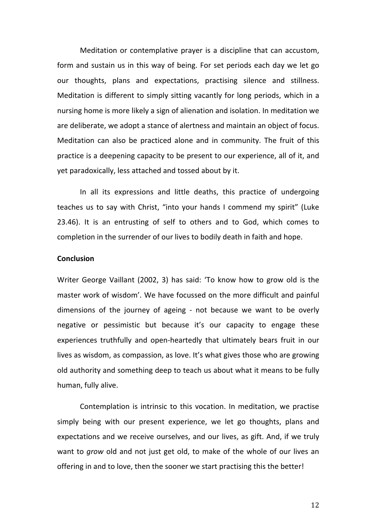Meditation or contemplative prayer is a discipline that can accustom, form and sustain us in this way of being. For set periods each day we let go our thoughts, plans and expectations, practising silence and stillness. Meditation is different to simply sitting vacantly for long periods, which in a nursing home is more likely a sign of alienation and isolation. In meditation we are deliberate, we adopt a stance of alertness and maintain an object of focus. Meditation can also be practiced alone and in community. The fruit of this practice is a deepening capacity to be present to our experience, all of it, and yet paradoxically, less attached and tossed about by it.

In all its expressions and little deaths, this practice of undergoing teaches us to say with Christ, "into your hands I commend my spirit" (Luke 23.46). It is an entrusting of self to others and to God, which comes to completion in the surrender of our lives to bodily death in faith and hope.

#### **Conclusion**

Writer George Vaillant (2002, 3) has said: 'To know how to grow old is the master work of wisdom'. We have focussed on the more difficult and painful dimensions of the journey of ageing - not because we want to be overly negative or pessimistic but because it's our capacity to engage these experiences truthfully and open-heartedly that ultimately bears fruit in our lives as wisdom, as compassion, as love. It's what gives those who are growing old authority and something deep to teach us about what it means to be fully human, fully alive.

Contemplation is intrinsic to this vocation. In meditation, we practise simply being with our present experience, we let go thoughts, plans and expectations and we receive ourselves, and our lives, as gift. And, if we truly want to *grow* old and not just get old, to make of the whole of our lives an offering in and to love, then the sooner we start practising this the better!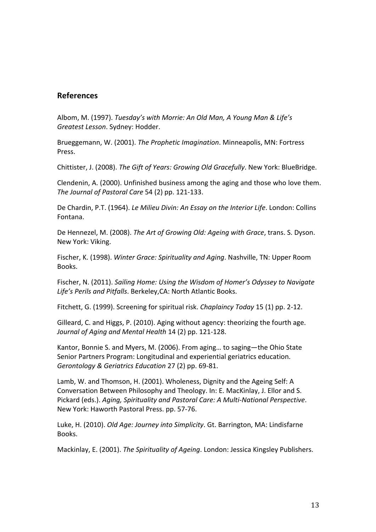# **References**

Albom, M. (1997). *Tuesday's with Morrie: An Old Man, A Young Man & Life's Greatest Lesson*. Sydney: Hodder.

Brueggemann, W. (2001). *The Prophetic Imagination*. Minneapolis, MN: Fortress Press.

Chittister, J. (2008). *The Gift of Years: Growing Old Gracefully*. New York: BlueBridge.

Clendenin, A. (2000). Unfinished business among the aging and those who love them. The Journal of Pastoral Care 54 (2) pp. 121-133.

De Chardin, P.T. (1964). *Le Milieu Divin: An Essay on the Interior Life*. London: Collins Fontana. 

De Hennezel, M. (2008). *The Art of Growing Old: Ageing with Grace*, trans. S. Dyson. New York: Viking.

Fischer, K. (1998). *Winter Grace: Spirituality and Aging*. Nashville, TN: Upper Room Books.

Fischer, N. (2011). *Sailing Home: Using the Wisdom of Homer's Odyssey to Navigate* Life's Perils and Pitfalls. Berkeley, CA: North Atlantic Books.

Fitchett, G. (1999). Screening for spiritual risk. *Chaplaincy Today* 15 (1) pp. 2-12.

Gilleard, C. and Higgs, P. (2010). Aging without agency: theorizing the fourth age. *Journal of Aging and Mental Health* 14 (2) pp. 121-128.

Kantor, Bonnie S. and Myers, M. (2006). From aging... to saging—the Ohio State Senior Partners Program: Longitudinal and experiential geriatrics education. *Gerontology & Geriatrics Education* 27 (2) pp. 69-81.

Lamb, W. and Thomson, H. (2001). Wholeness, Dignity and the Ageing Self: A Conversation Between Philosophy and Theology. In: E. MacKinlay, J. Ellor and S. Pickard (eds.). Aging, Spirituality and Pastoral Care: A Multi-National Perspective. New York: Haworth Pastoral Press. pp. 57-76.

Luke, H. (2010). *Old Age: Journey into Simplicity*. Gt. Barrington, MA: Lindisfarne Books.

Mackinlay, E. (2001). *The Spirituality of Ageing*. London: Jessica Kingsley Publishers.